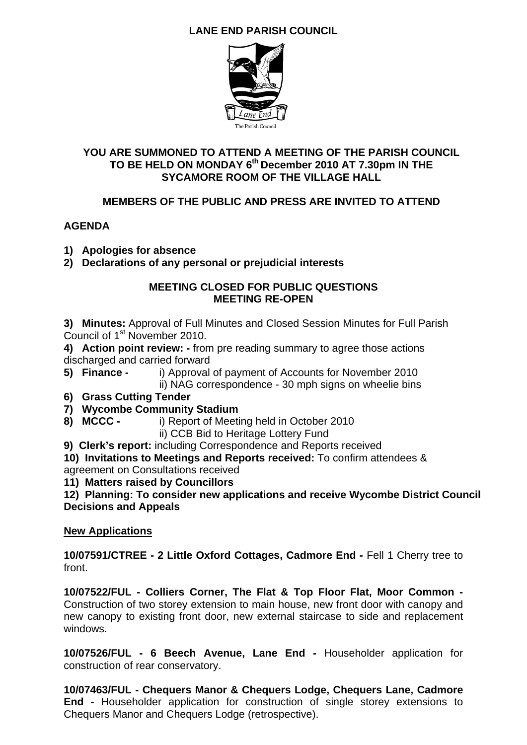# **LANE END PARISH COUNCIL**



### **YOU ARE SUMMONED TO ATTEND A MEETING OF THE PARISH COUNCIL TO BE HELD ON MONDAY 6th December 2010 AT 7.30pm IN THE SYCAMORE ROOM OF THE VILLAGE HALL**

### **MEMBERS OF THE PUBLIC AND PRESS ARE INVITED TO ATTEND**

### **AGENDA**

- **1) Apologies for absence**
- **2) Declarations of any personal or prejudicial interests**

#### **MEETING CLOSED FOR PUBLIC QUESTIONS MEETING RE-OPEN**

**3) Minutes:** Approval of Full Minutes and Closed Session Minutes for Full Parish Council of 1<sup>st</sup> November 2010.

**4) Action point review: -** from pre reading summary to agree those actions discharged and carried forward

**5) Finance -** i) Approval of payment of Accounts for November 2010

ii) NAG correspondence - 30 mph signs on wheelie bins

- **6) Grass Cutting Tender**
- **7) Wycombe Community Stadium**
- **8) MCCC** i) Report of Meeting held in October 2010
	- ii) CCB Bid to Heritage Lottery Fund

**9) Clerk's report:** including Correspondence and Reports received

**10) Invitations to Meetings and Reports received:** To confirm attendees & agreement on Consultations received

**11) Matters raised by Councillors** 

**12) Planning: To consider new applications and receive Wycombe District Council Decisions and Appeals** 

### **New Applications**

**10/07591/CTREE - 2 Little Oxford Cottages, Cadmore End -** Fell 1 Cherry tree to front.

**10/07522/FUL - Colliers Corner, The Flat & Top Floor Flat, Moor Common -** Construction of two storey extension to main house, new front door with canopy and new canopy to existing front door, new external staircase to side and replacement windows.

**10/07526/FUL - 6 Beech Avenue, Lane End -** Householder application for construction of rear conservatory.

**10/07463/FUL - Chequers Manor & Chequers Lodge, Chequers Lane, Cadmore End -** Householder application for construction of single storey extensions to Chequers Manor and Chequers Lodge (retrospective).